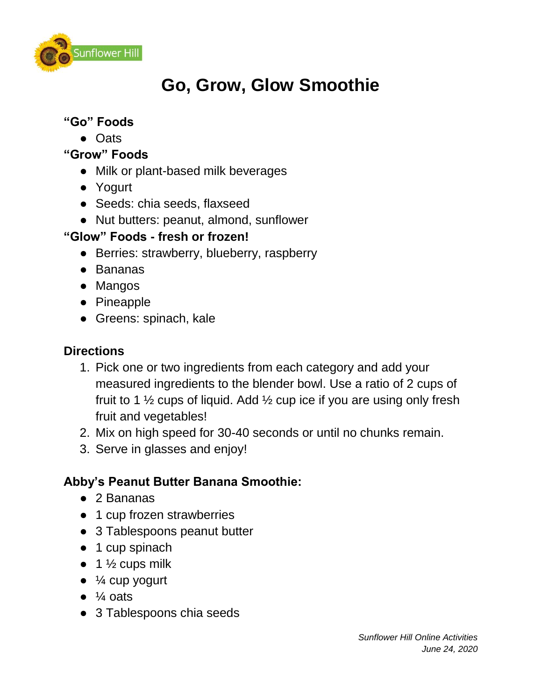

## **Go, Grow, Glow Smoothie**

### **"Go" Foods**

- Oats
- **"Grow" Foods**
	- Milk or plant-based milk beverages
	- Yogurt
	- Seeds: chia seeds, flaxseed
	- Nut butters: peanut, almond, sunflower

#### **"Glow" Foods - fresh or frozen!**

- Berries: strawberry, blueberry, raspberry
- Bananas
- Mangos
- Pineapple
- Greens: spinach, kale

### **Directions**

- 1. Pick one or two ingredients from each category and add your measured ingredients to the blender bowl. Use a ratio of 2 cups of fruit to 1  $\frac{1}{2}$  cups of liquid. Add  $\frac{1}{2}$  cup ice if you are using only fresh fruit and vegetables!
- 2. Mix on high speed for 30-40 seconds or until no chunks remain.
- 3. Serve in glasses and enjoy!

### **Abby's Peanut Butter Banana Smoothie:**

- 2 Bananas
- 1 cup frozen strawberries
- 3 Tablespoons peanut butter
- 1 cup spinach
- $\bullet$  1  $\frac{1}{2}$  cups milk
- $\bullet$   $\frac{1}{4}$  cup yogurt
- $\bullet$   $\frac{1}{4}$  oats
- 3 Tablespoons chia seeds